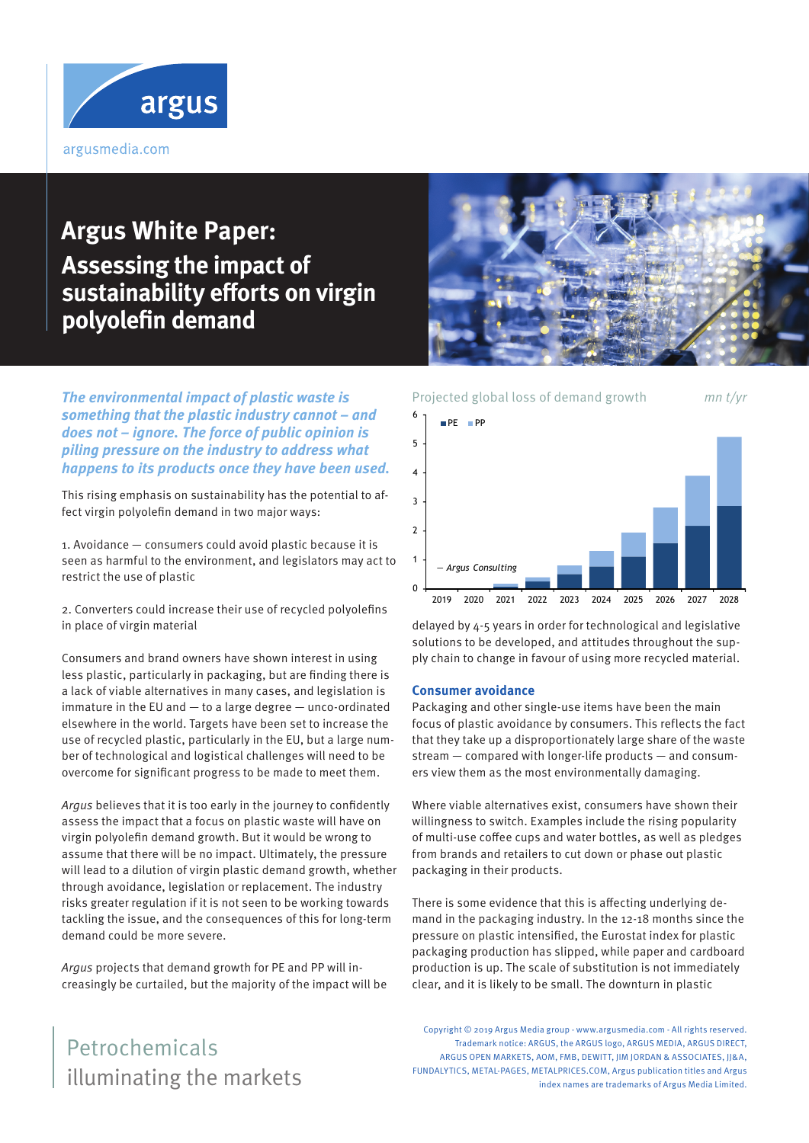

# **Argus White Paper: Assessing the impact of sustainability efforts on virgin polyolefin demand**



**The environmental impact of plastic waste is something that the plastic industry cannot – and does not – ignore. The force of public opinion is piling pressure on the industry to address what happens to its products once they have been used.**

This rising emphasis on sustainability has the potential to affect virgin polyolefin demand in two major ways:

1. Avoidance — consumers could avoid plastic because it is seen as harmful to the environment, and legislators may act to restrict the use of plastic

2. Converters could increase their use of recycled polyolefins in place of virgin material

Consumers and brand owners have shown interest in using less plastic, particularly in packaging, but are finding there is a lack of viable alternatives in many cases, and legislation is immature in the EU and — to a large degree — unco-ordinated elsewhere in the world. Targets have been set to increase the use of recycled plastic, particularly in the EU, but a large number of technological and logistical challenges will need to be overcome for significant progress to be made to meet them.

Argus believes that it is too early in the journey to confidently assess the impact that a focus on plastic waste will have on virgin polyolefin demand growth. But it would be wrong to assume that there will be no impact. Ultimately, the pressure will lead to a dilution of virgin plastic demand growth, whether through avoidance, legislation or replacement. The industry risks greater regulation if it is not seen to be working towards tackling the issue, and the consequences of this for long-term demand could be more severe.

Argus projects that demand growth for PE and PP will increasingly be curtailed, but the majority of the impact will be



delayed by 4-5 years in order for technological and legislative solutions to be developed, and attitudes throughout the supply chain to change in favour of using more recycled material.

#### **Consumer avoidance**

Packaging and other single-use items have been the main focus of plastic avoidance by consumers. This reflects the fact that they take up a disproportionately large share of the waste stream — compared with longer-life products — and consumers view them as the most environmentally damaging.

Where viable alternatives exist, consumers have shown their willingness to switch. Examples include the rising popularity of multi-use coffee cups and water bottles, as well as pledges from brands and retailers to cut down or phase out plastic packaging in their products.

There is some evidence that this is affecting underlying demand in the packaging industry. In the 12-18 months since the pressure on plastic intensified, the Eurostat index for plastic packaging production has slipped, while paper and cardboard production is up. The scale of substitution is not immediately clear, and it is likely to be small. The downturn in plastic

Copyright © 2019 Argus Media group - www.argusmedia.com - All rights reserved. Trademark notice: ARGUS, the ARGUS logo, ARGUS MEDIA, ARGUS DIRECT, ARGUS OPEN MARKETS, AOM, FMB, DEWITT, JIM JORDAN & ASSOCIATES, JJ&A, FUNDALYTICS, METAL-PAGES, METALPRICES.COM, Argus publication titles and Argus index names are trademarks of Argus Media Limited.

# illuminating the markets Petrochemicals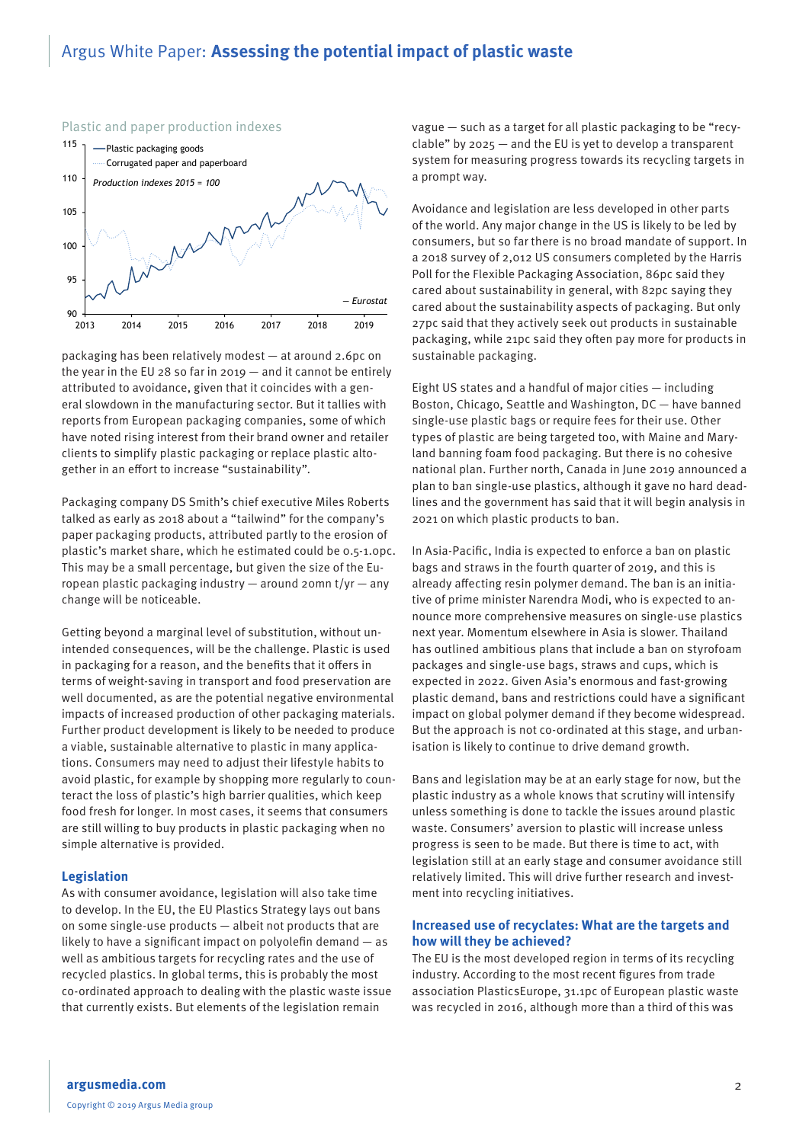## Argus White Paper: **Assessing the potential impact of plastic waste**



Plastic and paper production indexes

packaging has been relatively modest — at around 2.6pc on the year in the EU 28 so far in 2019 — and it cannot be entirely attributed to avoidance, given that it coincides with a general slowdown in the manufacturing sector. But it tallies with reports from European packaging companies, some of which have noted rising interest from their brand owner and retailer clients to simplify plastic packaging or replace plastic altogether in an effort to increase "sustainability".

Packaging company DS Smith's chief executive Miles Roberts talked as early as 2018 about a "tailwind" for the company's paper packaging products, attributed partly to the erosion of plastic's market share, which he estimated could be 0.5-1.0pc. This may be a small percentage, but given the size of the European plastic packaging industry — around 20mn t/yr — any change will be noticeable.

Getting beyond a marginal level of substitution, without unintended consequences, will be the challenge. Plastic is used in packaging for a reason, and the benefits that it offers in terms of weight-saving in transport and food preservation are well documented, as are the potential negative environmental impacts of increased production of other packaging materials. Further product development is likely to be needed to produce a viable, sustainable alternative to plastic in many applications. Consumers may need to adjust their lifestyle habits to avoid plastic, for example by shopping more regularly to counteract the loss of plastic's high barrier qualities, which keep food fresh for longer. In most cases, it seems that consumers are still willing to buy products in plastic packaging when no simple alternative is provided.

#### **Legislation**

As with consumer avoidance, legislation will also take time to develop. In the EU, the EU Plastics Strategy lays out bans on some single-use products — albeit not products that are likely to have a significant impact on polyolefin demand — as well as ambitious targets for recycling rates and the use of recycled plastics. In global terms, this is probably the most co-ordinated approach to dealing with the plastic waste issue that currently exists. But elements of the legislation remain

vague — such as a target for all plastic packaging to be "recyclable" by 2025 — and the EU is yet to develop a transparent system for measuring progress towards its recycling targets in a prompt way.

Avoidance and legislation are less developed in other parts of the world. Any major change in the US is likely to be led by consumers, but so far there is no broad mandate of support. In a 2018 survey of 2,012 US consumers completed by the Harris Poll for the Flexible Packaging Association, 86pc said they cared about sustainability in general, with 82pc saying they cared about the sustainability aspects of packaging. But only 27pc said that they actively seek out products in sustainable packaging, while 21pc said they often pay more for products in sustainable packaging.

Eight US states and a handful of major cities — including Boston, Chicago, Seattle and Washington, DC — have banned single-use plastic bags or require fees for their use. Other types of plastic are being targeted too, with Maine and Maryland banning foam food packaging. But there is no cohesive national plan. Further north, Canada in June 2019 announced a plan to ban single-use plastics, although it gave no hard deadlines and the government has said that it will begin analysis in 2021 on which plastic products to ban.

In Asia-Pacific, India is expected to enforce a ban on plastic bags and straws in the fourth quarter of 2019, and this is already affecting resin polymer demand. The ban is an initiative of prime minister Narendra Modi, who is expected to announce more comprehensive measures on single-use plastics next year. Momentum elsewhere in Asia is slower. Thailand has outlined ambitious plans that include a ban on styrofoam packages and single-use bags, straws and cups, which is expected in 2022. Given Asia's enormous and fast-growing plastic demand, bans and restrictions could have a significant impact on global polymer demand if they become widespread. But the approach is not co-ordinated at this stage, and urbanisation is likely to continue to drive demand growth.

Bans and legislation may be at an early stage for now, but the plastic industry as a whole knows that scrutiny will intensify unless something is done to tackle the issues around plastic waste. Consumers' aversion to plastic will increase unless progress is seen to be made. But there is time to act, with legislation still at an early stage and consumer avoidance still relatively limited. This will drive further research and investment into recycling initiatives.

#### **Increased use of recyclates: What are the targets and how will they be achieved?**

The EU is the most developed region in terms of its recycling industry. According to the most recent figures from trade association PlasticsEurope, 31.1pc of European plastic waste was recycled in 2016, although more than a third of this was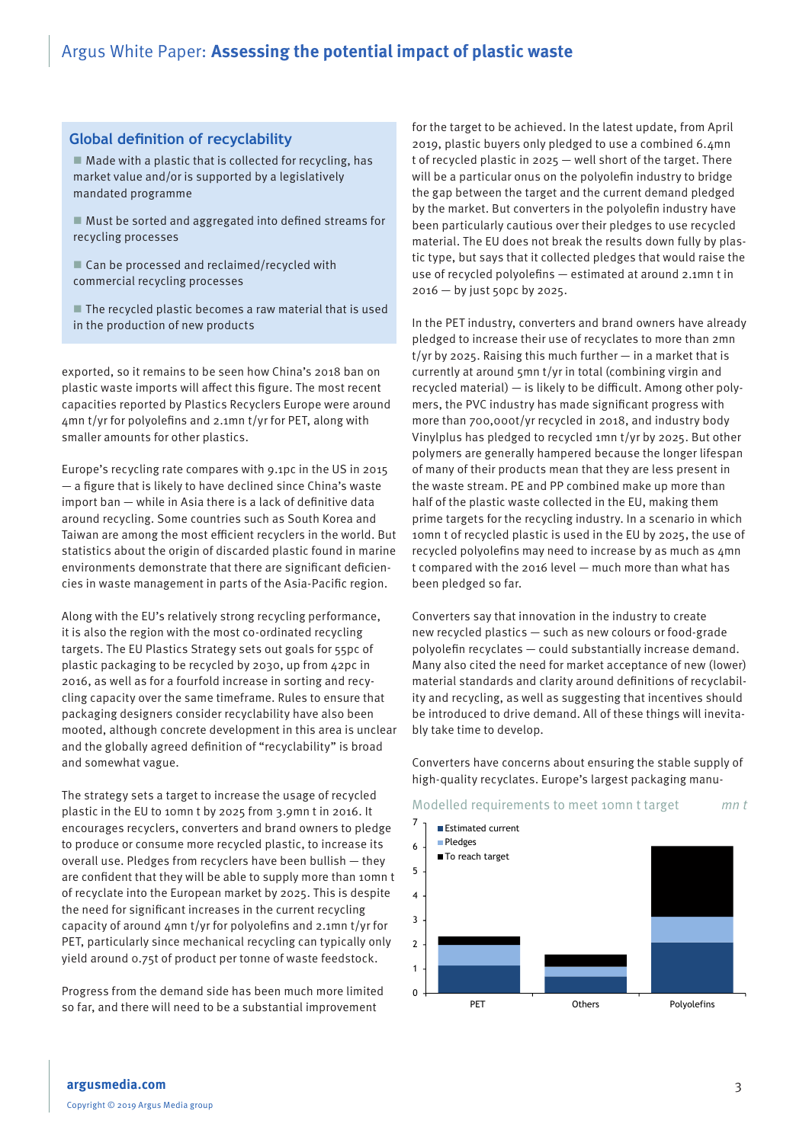### **Global definition of recyclability**

 $\blacksquare$  Made with a plastic that is collected for recycling, has market value and/or is supported by a legislatively mandated programme

 $\blacksquare$  Must be sorted and aggregated into defined streams for recycling processes

■ Can be processed and reclaimed/recycled with commercial recycling processes

 $\blacksquare$  The recycled plastic becomes a raw material that is used in the production of new products

exported, so it remains to be seen how China's 2018 ban on plastic waste imports will affect this figure. The most recent capacities reported by Plastics Recyclers Europe were around 4mn t/yr for polyolefins and 2.1mn t/yr for PET, along with smaller amounts for other plastics.

Europe's recycling rate compares with 9.1pc in the US in 2015 — a figure that is likely to have declined since China's waste import ban — while in Asia there is a lack of definitive data around recycling. Some countries such as South Korea and Taiwan are among the most efficient recyclers in the world. But statistics about the origin of discarded plastic found in marine environments demonstrate that there are significant deficiencies in waste management in parts of the Asia-Pacific region.

Along with the EU's relatively strong recycling performance, it is also the region with the most co-ordinated recycling targets. The EU Plastics Strategy sets out goals for 55pc of plastic packaging to be recycled by 2030, up from 42pc in 2016, as well as for a fourfold increase in sorting and recycling capacity over the same timeframe. Rules to ensure that packaging designers consider recyclability have also been mooted, although concrete development in this area is unclear and the globally agreed definition of "recyclability" is broad and somewhat vague.

The strategy sets a target to increase the usage of recycled plastic in the EU to 10mn t by 2025 from 3.9mn t in 2016. It encourages recyclers, converters and brand owners to pledge to produce or consume more recycled plastic, to increase its overall use. Pledges from recyclers have been bullish — they are confident that they will be able to supply more than 10mn t of recyclate into the European market by 2025. This is despite the need for significant increases in the current recycling capacity of around 4mn t/yr for polyolefins and 2.1mn t/yr for PET, particularly since mechanical recycling can typically only yield around 0.75t of product per tonne of waste feedstock.

Progress from the demand side has been much more limited so far, and there will need to be a substantial improvement

for the target to be achieved. In the latest update, from April 2019, plastic buyers only pledged to use a combined 6.4mn t of recycled plastic in 2025 — well short of the target. There will be a particular onus on the polyolefin industry to bridge the gap between the target and the current demand pledged by the market. But converters in the polyolefin industry have been particularly cautious over their pledges to use recycled material. The EU does not break the results down fully by plastic type, but says that it collected pledges that would raise the use of recycled polyolefins — estimated at around 2.1mn t in 2016 — by just 50pc by 2025.

In the PET industry, converters and brand owners have already pledged to increase their use of recyclates to more than 2mn t/yr by 2025. Raising this much further — in a market that is currently at around 5mn t/yr in total (combining virgin and recycled material) — is likely to be difficult. Among other polymers, the PVC industry has made significant progress with more than 700,000t/yr recycled in 2018, and industry body Vinylplus has pledged to recycled 1mn t/yr by 2025. But other polymers are generally hampered because the longer lifespan of many of their products mean that they are less present in the waste stream. PE and PP combined make up more than half of the plastic waste collected in the EU, making them prime targets for the recycling industry. In a scenario in which 10mn t of recycled plastic is used in the EU by 2025, the use of recycled polyolefins may need to increase by as much as 4mn t compared with the 2016 level — much more than what has been pledged so far.

Converters say that innovation in the industry to create new recycled plastics — such as new colours or food-grade polyolefin recyclates — could substantially increase demand. Many also cited the need for market acceptance of new (lower) material standards and clarity around definitions of recyclability and recycling, as well as suggesting that incentives should be introduced to drive demand. All of these things will inevitably take time to develop.

Converters have concerns about ensuring the stable supply of high-quality recyclates. Europe's largest packaging manu-

#### Modelled requirements to meet 10mn t target mn t

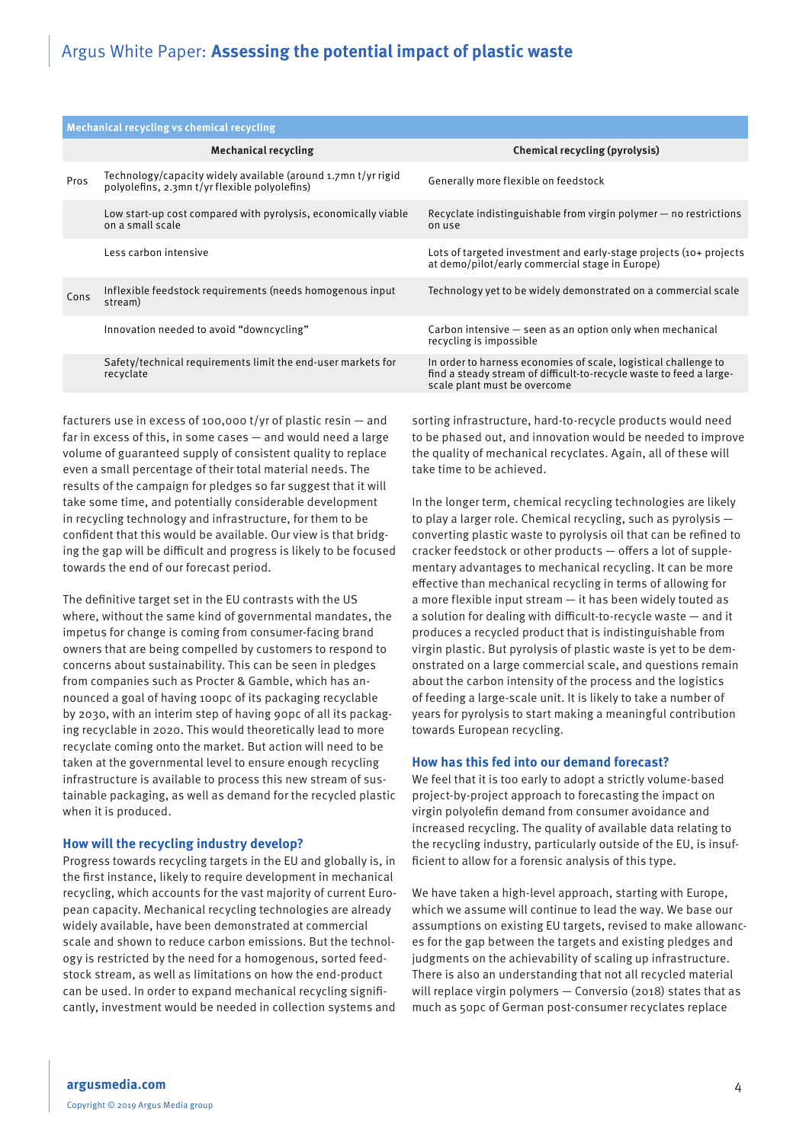| Mechanical recycling vs chemical recycling |                                                                                                                |                                                                                                                                                                        |
|--------------------------------------------|----------------------------------------------------------------------------------------------------------------|------------------------------------------------------------------------------------------------------------------------------------------------------------------------|
|                                            | <b>Mechanical recycling</b>                                                                                    | Chemical recycling (pyrolysis)                                                                                                                                         |
| Pros                                       | Technology/capacity widely available (around 1.7mn t/yr rigid<br>polyolefins, 2.3mn t/yr flexible polyolefins) | Generally more flexible on feedstock                                                                                                                                   |
|                                            | Low start-up cost compared with pyrolysis, economically viable<br>on a small scale                             | Recyclate indistinguishable from virgin polymer $-$ no restrictions<br>on use                                                                                          |
|                                            | Less carbon intensive                                                                                          | Lots of targeted investment and early-stage projects (10+ projects<br>at demo/pilot/early commercial stage in Europe)                                                  |
| Cons                                       | Inflexible feedstock requirements (needs homogenous input<br>stream)                                           | Technology vet to be widely demonstrated on a commercial scale                                                                                                         |
|                                            | Innovation needed to avoid "downcycling"                                                                       | Carbon intensive $-$ seen as an option only when mechanical<br>recycling is impossible                                                                                 |
|                                            | Safety/technical requirements limit the end-user markets for<br>recyclate                                      | In order to harness economies of scale, logistical challenge to<br>find a steady stream of difficult-to-recycle waste to feed a large-<br>scale plant must be overcome |

facturers use in excess of 100,000 t/yr of plastic resin — and far in excess of this, in some cases — and would need a large volume of guaranteed supply of consistent quality to replace even a small percentage of their total material needs. The results of the campaign for pledges so far suggest that it will take some time, and potentially considerable development in recycling technology and infrastructure, for them to be confident that this would be available. Our view is that bridging the gap will be difficult and progress is likely to be focused towards the end of our forecast period.

The definitive target set in the EU contrasts with the US where, without the same kind of governmental mandates, the impetus for change is coming from consumer-facing brand owners that are being compelled by customers to respond to concerns about sustainability. This can be seen in pledges from companies such as Procter & Gamble, which has announced a goal of having 100pc of its packaging recyclable by 2030, with an interim step of having 90pc of all its packaging recyclable in 2020. This would theoretically lead to more recyclate coming onto the market. But action will need to be taken at the governmental level to ensure enough recycling infrastructure is available to process this new stream of sustainable packaging, as well as demand for the recycled plastic when it is produced.

### **How will the recycling industry develop?**

Progress towards recycling targets in the EU and globally is, in the first instance, likely to require development in mechanical recycling, which accounts for the vast majority of current European capacity. Mechanical recycling technologies are already widely available, have been demonstrated at commercial scale and shown to reduce carbon emissions. But the technology is restricted by the need for a homogenous, sorted feedstock stream, as well as limitations on how the end-product can be used. In order to expand mechanical recycling significantly, investment would be needed in collection systems and

sorting infrastructure, hard-to-recycle products would need to be phased out, and innovation would be needed to improve the quality of mechanical recyclates. Again, all of these will take time to be achieved.

In the longer term, chemical recycling technologies are likely to play a larger role. Chemical recycling, such as pyrolysis converting plastic waste to pyrolysis oil that can be refined to cracker feedstock or other products — offers a lot of supplementary advantages to mechanical recycling. It can be more effective than mechanical recycling in terms of allowing for a more flexible input stream — it has been widely touted as a solution for dealing with difficult-to-recycle waste — and it produces a recycled product that is indistinguishable from virgin plastic. But pyrolysis of plastic waste is yet to be demonstrated on a large commercial scale, and questions remain about the carbon intensity of the process and the logistics of feeding a large-scale unit. It is likely to take a number of years for pyrolysis to start making a meaningful contribution towards European recycling.

## **How has this fed into our demand forecast?**

We feel that it is too early to adopt a strictly volume-based project-by-project approach to forecasting the impact on virgin polyolefin demand from consumer avoidance and increased recycling. The quality of available data relating to the recycling industry, particularly outside of the EU, is insufficient to allow for a forensic analysis of this type.

We have taken a high-level approach, starting with Europe, which we assume will continue to lead the way. We base our assumptions on existing EU targets, revised to make allowances for the gap between the targets and existing pledges and judgments on the achievability of scaling up infrastructure. There is also an understanding that not all recycled material will replace virgin polymers — Conversio (2018) states that as much as 50pc of German post-consumer recyclates replace